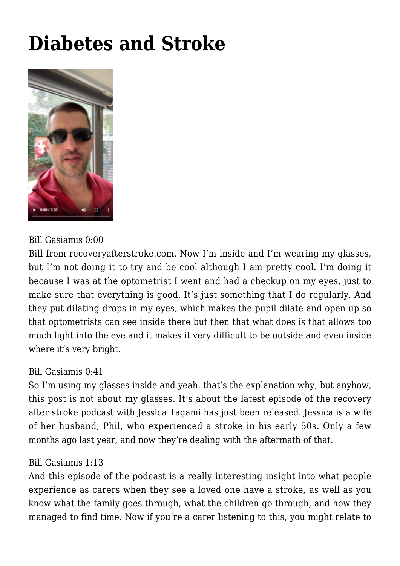# **[Diabetes and Stroke](https://recoveryafterstroke.com/diabetes-and-stroke/)**



## Bill Gasiamis 0:00

Bill from [recoveryafterstroke.com](http://recoveryafterstroke.com). Now I'm inside and I'm wearing my glasses, but I'm not doing it to try and be cool although I am pretty cool. I'm doing it because I was at the optometrist I went and had a checkup on my eyes, just to make sure that everything is good. It's just something that I do regularly. And they put dilating drops in my eyes, which makes the pupil dilate and open up so that optometrists can see inside there but then that what does is that allows too much light into the eye and it makes it very difficult to be outside and even inside where it's very bright.

### Bill Gasiamis 0:41

So I'm using my glasses inside and yeah, that's the explanation why, but anyhow, this post is not about my glasses. It's about the latest episode of the recovery after stroke podcast with Jessica Tagami has just been released. Jessica is a wife of her husband, Phil, who experienced a stroke in his early 50s. Only a few months ago last year, and now they're dealing with the aftermath of that.

#### Bill Gasiamis 1:13

And this episode of the podcast is a really interesting insight into what people experience as carers when they see a loved one have a stroke, as well as you know what the family goes through, what the children go through, and how they managed to find time. Now if you're a carer listening to this, you might relate to